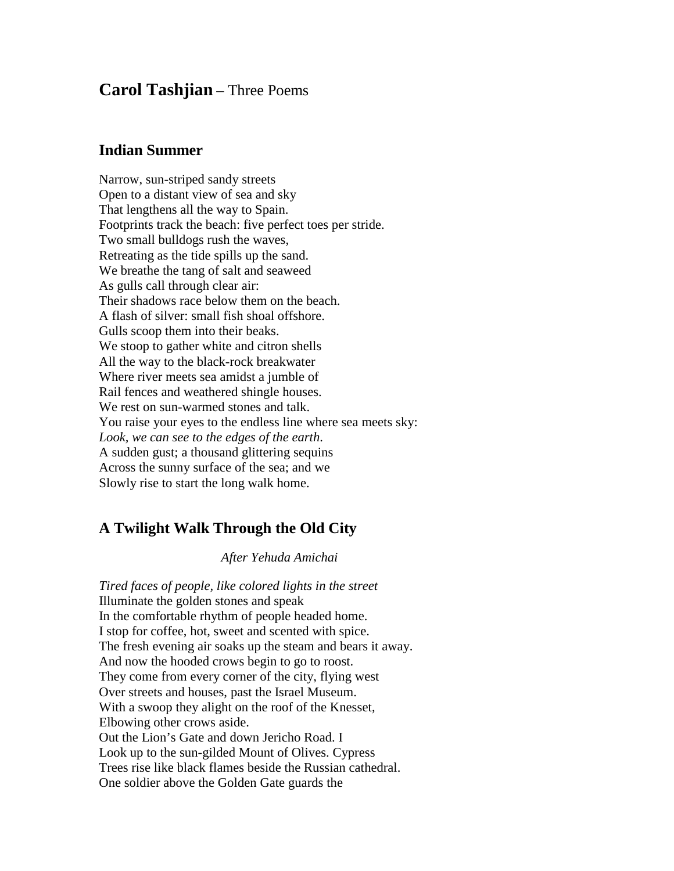# **Carol Tashjian** – Three Poems

#### **Indian Summer**

Narrow, sun-striped sandy streets Open to a distant view of sea and sky That lengthens all the way to Spain. Footprints track the beach: five perfect toes per stride. Two small bulldogs rush the waves, Retreating as the tide spills up the sand. We breathe the tang of salt and seaweed As gulls call through clear air: Their shadows race below them on the beach. A flash of silver: small fish shoal offshore. Gulls scoop them into their beaks. We stoop to gather white and citron shells All the way to the black-rock breakwater Where river meets sea amidst a jumble of Rail fences and weathered shingle houses. We rest on sun-warmed stones and talk. You raise your eyes to the endless line where sea meets sky: *Look, we can see to the edges of the earth*. A sudden gust; a thousand glittering sequins Across the sunny surface of the sea; and we Slowly rise to start the long walk home.

## **A Twilight Walk Through the Old City**

#### *After Yehuda Amichai*

*Tired faces of people, like colored lights in the street* Illuminate the golden stones and speak In the comfortable rhythm of people headed home. I stop for coffee, hot, sweet and scented with spice. The fresh evening air soaks up the steam and bears it away. And now the hooded crows begin to go to roost. They come from every corner of the city, flying west Over streets and houses, past the Israel Museum. With a swoop they alight on the roof of the Knesset, Elbowing other crows aside. Out the Lion's Gate and down Jericho Road. I Look up to the sun-gilded Mount of Olives. Cypress Trees rise like black flames beside the Russian cathedral. One soldier above the Golden Gate guards the